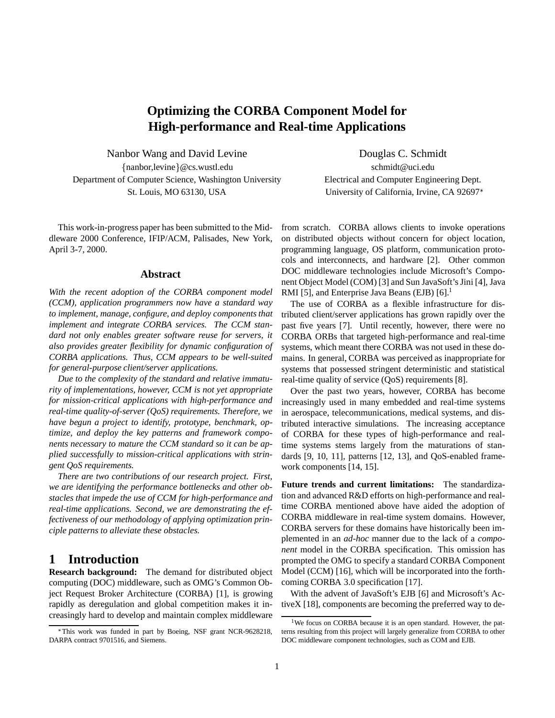# **Optimizing the CORBA Component Model for High-performance and Real-time Applications**

Nanbor Wang and David Levine Douglas C. Schmidt fnanbor,levineg@cs.wustl.edu schmidt@uci.edu Department of Computer Science, Washington University Electrical and Computer Engineering Dept.

This work-in-progress paper has been submitted to the Middleware 2000 Conference, IFIP/ACM, Palisades, New York, April 3-7, 2000.

#### **Abstract**

*With the recent adoption of the CORBA component model (CCM), application programmers now have a standard way to implement, manage, configure, and deploy components that implement and integrate CORBA services. The CCM standard not only enables greater software reuse for servers, it also provides greater flexibility for dynamic configuration of CORBA applications. Thus, CCM appears to be well-suited for general-purpose client/server applications.*

*Due to the complexity of the standard and relative immaturity of implementations, however, CCM is not yet appropriate for mission-critical applications with high-performance and real-time quality-of-server (QoS) requirements. Therefore, we have begun a project to identify, prototype, benchmark, optimize, and deploy the key patterns and framework components necessary to mature the CCM standard so it can be applied successfully to mission-critical applications with stringent QoS requirements.*

*There are two contributions of our research project. First, we are identifying the performance bottlenecks and other obstacles that impede the use of CCM for high-performance and real-time applications. Second, we are demonstrating the effectiveness of our methodology of applying optimization principle patterns to alleviate these obstacles.*

## **1 Introduction**

**Research background:** The demand for distributed object computing (DOC) middleware, such as OMG's Common Object Request Broker Architecture (CORBA) [1], is growing rapidly as deregulation and global competition makes it increasingly hard to develop and maintain complex middleware

St. Louis, MO 63130, USA University of California, Irvine, CA 92697<sup>\*</sup>

from scratch. CORBA allows clients to invoke operations on distributed objects without concern for object location, programming language, OS platform, communication protocols and interconnects, and hardware [2]. Other common DOC middleware technologies include Microsoft's Component Object Model (COM) [3] and Sun JavaSoft's Jini [4], Java RMI [5], and Enterprise Java Beans (EJB) [6].<sup>1</sup>

The use of CORBA as a flexible infrastructure for distributed client/server applications has grown rapidly over the past five years [7]. Until recently, however, there were no CORBA ORBs that targeted high-performance and real-time systems, which meant there CORBA was not used in these domains. In general, CORBA was perceived as inappropriate for systems that possessed stringent deterministic and statistical real-time quality of service (QoS) requirements [8].

Over the past two years, however, CORBA has become increasingly used in many embedded and real-time systems in aerospace, telecommunications, medical systems, and distributed interactive simulations. The increasing acceptance of CORBA for these types of high-performance and realtime systems stems largely from the maturations of standards [9, 10, 11], patterns [12, 13], and QoS-enabled framework components [14, 15].

**Future trends and current limitations:** The standardization and advanced R&D efforts on high-performance and realtime CORBA mentioned above have aided the adoption of CORBA middleware in real-time system domains. However, CORBA servers for these domains have historically been implemented in an *ad-hoc* manner due to the lack of a *component* model in the CORBA specification. This omission has prompted the OMG to specify a standard CORBA Component Model (CCM) [16], which will be incorporated into the forthcoming CORBA 3.0 specification [17].

With the advent of JavaSoft's EJB [6] and Microsoft's ActiveX [18], components are becoming the preferred way to de-

This work was funded in part by Boeing, NSF grant NCR-9628218, DARPA contract 9701516, and Siemens.

<sup>&</sup>lt;sup>1</sup>We focus on CORBA because it is an open standard. However, the patterns resulting from this project will largely generalize from CORBA to other DOC middleware component technologies, such as COM and EJB.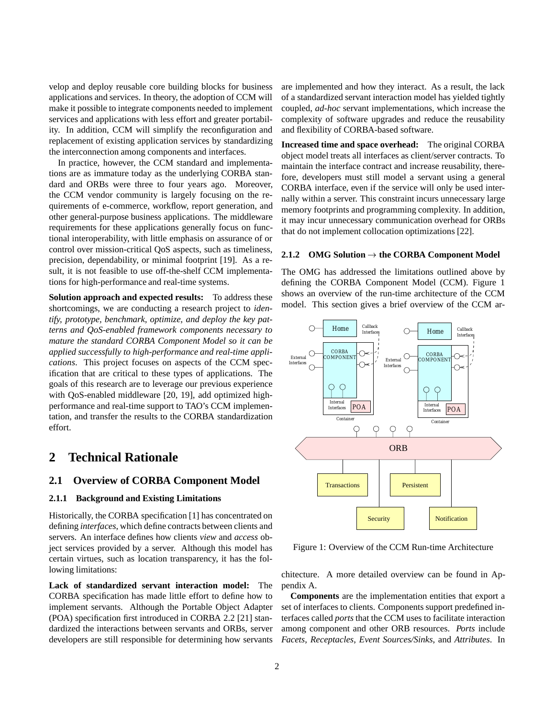velop and deploy reusable core building blocks for business applications and services. In theory, the adoption of CCM will make it possible to integrate components needed to implement services and applications with less effort and greater portability. In addition, CCM will simplify the reconfiguration and replacement of existing application services by standardizing the interconnection among components and interfaces.

In practice, however, the CCM standard and implementations are as immature today as the underlying CORBA standard and ORBs were three to four years ago. Moreover, the CCM vendor community is largely focusing on the requirements of e-commerce, workflow, report generation, and other general-purpose business applications. The middleware requirements for these applications generally focus on functional interoperability, with little emphasis on assurance of or control over mission-critical QoS aspects, such as timeliness, precision, dependability, or minimal footprint [19]. As a result, it is not feasible to use off-the-shelf CCM implementations for high-performance and real-time systems.

**Solution approach and expected results:** To address these shortcomings, we are conducting a research project to *identify, prototype, benchmark, optimize, and deploy the key patterns and QoS-enabled framework components necessary to mature the standard CORBA Component Model so it can be applied successfully to high-performance and real-time applications*. This project focuses on aspects of the CCM specification that are critical to these types of applications. The goals of this research are to leverage our previous experience with QoS-enabled middleware [20, 19], add optimized highperformance and real-time support to TAO's CCM implementation, and transfer the results to the CORBA standardization effort.

## **2 Technical Rationale**

### **2.1 Overview of CORBA Component Model**

### **2.1.1 Background and Existing Limitations**

Historically, the CORBA specification [1] has concentrated on defining *interfaces*, which define contracts between clients and servers. An interface defines how clients *view* and *access* object services provided by a server. Although this model has certain virtues, such as location transparency, it has the following limitations:

**Lack of standardized servant interaction model:** The CORBA specification has made little effort to define how to implement servants. Although the Portable Object Adapter (POA) specification first introduced in CORBA 2.2 [21] standardized the interactions between servants and ORBs, server developers are still responsible for determining how servants are implemented and how they interact. As a result, the lack of a standardized servant interaction model has yielded tightly coupled, *ad-hoc* servant implementations, which increase the complexity of software upgrades and reduce the reusability and flexibility of CORBA-based software.

**Increased time and space overhead:** The original CORBA object model treats all interfaces as client/server contracts. To maintain the interface contract and increase reusability, therefore, developers must still model a servant using a general CORBA interface, even if the service will only be used internally within a server. This constraint incurs unnecessary large memory footprints and programming complexity. In addition, it may incur unnecessary communication overhead for ORBs that do not implement collocation optimizations [22].

#### **2.1.2 OMG Solution**  $\rightarrow$  the CORBA Component Model

The OMG has addressed the limitations outlined above by defining the CORBA Component Model (CCM). Figure 1 shows an overview of the run-time architecture of the CCM model. This section gives a brief overview of the CCM ar-



Figure 1: Overview of the CCM Run-time Architecture

chitecture. A more detailed overview can be found in Appendix A.

**Components** are the implementation entities that export a set of interfaces to clients. Components support predefined interfaces called *ports* that the CCM uses to facilitate interaction among component and other ORB resources. *Ports* include *Facets*, *Receptacles*, *Event Sources/Sinks*, and *Attributes*. In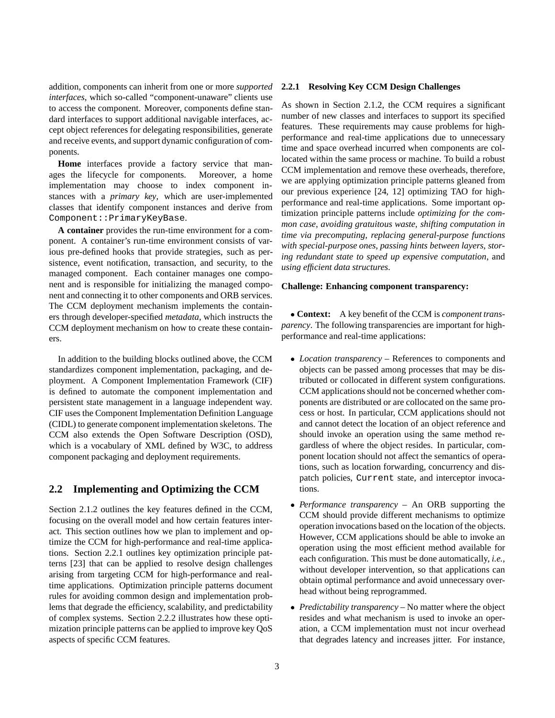addition, components can inherit from one or more *supported interfaces*, which so-called "component-unaware" clients use to access the component. Moreover, components define standard interfaces to support additional navigable interfaces, accept object references for delegating responsibilities, generate and receive events, and support dynamic configuration of components.

**Home** interfaces provide a factory service that manages the lifecycle for components. Moreover, a home implementation may choose to index component instances with a *primary key*, which are user-implemented classes that identify component instances and derive from Component::PrimaryKeyBase.

**A container** provides the run-time environment for a component. A container's run-time environment consists of various pre-defined hooks that provide strategies, such as persistence, event notification, transaction, and security, to the managed component. Each container manages one component and is responsible for initializing the managed component and connecting it to other components and ORB services. The CCM deployment mechanism implements the containers through developer-specified *metadata*, which instructs the CCM deployment mechanism on how to create these containers.

In addition to the building blocks outlined above, the CCM standardizes component implementation, packaging, and deployment. A Component Implementation Framework (CIF) is defined to automate the component implementation and persistent state management in a language independent way. CIF uses the Component Implementation Definition Language (CIDL) to generate component implementation skeletons. The CCM also extends the Open Software Description (OSD), which is a vocabulary of XML defined by W3C, to address component packaging and deployment requirements.

### **2.2 Implementing and Optimizing the CCM**

Section 2.1.2 outlines the key features defined in the CCM, focusing on the overall model and how certain features interact. This section outlines how we plan to implement and optimize the CCM for high-performance and real-time applications. Section 2.2.1 outlines key optimization principle patterns [23] that can be applied to resolve design challenges arising from targeting CCM for high-performance and realtime applications. Optimization principle patterns document rules for avoiding common design and implementation problems that degrade the efficiency, scalability, and predictability of complex systems. Section 2.2.2 illustrates how these optimization principle patterns can be applied to improve key QoS aspects of specific CCM features.

#### **2.2.1 Resolving Key CCM Design Challenges**

As shown in Section 2.1.2, the CCM requires a significant number of new classes and interfaces to support its specified features. These requirements may cause problems for highperformance and real-time applications due to unnecessary time and space overhead incurred when components are collocated within the same process or machine. To build a robust CCM implementation and remove these overheads, therefore, we are applying optimization principle patterns gleaned from our previous experience [24, 12] optimizing TAO for highperformance and real-time applications. Some important optimization principle patterns include *optimizing for the common case*, *avoiding gratuitous waste*, *shifting computation in time via precomputing*, *replacing general-purpose functions with special-purpose ones*, *passing hints between layers*, *storing redundant state to speed up expensive computation*, and *using efficient data structures*.

#### **Challenge: Enhancing component transparency:**

 **Context:** A key benefit of the CCM is *component transparency*. The following transparencies are important for highperformance and real-time applications:

- *Location transparency* References to components and objects can be passed among processes that may be distributed or collocated in different system configurations. CCM applications should not be concerned whether components are distributed or are collocated on the same process or host. In particular, CCM applications should not and cannot detect the location of an object reference and should invoke an operation using the same method regardless of where the object resides. In particular, component location should not affect the semantics of operations, such as location forwarding, concurrency and dispatch policies, Current state, and interceptor invocations.
- *Performance transparency* An ORB supporting the CCM should provide different mechanisms to optimize operation invocations based on the location of the objects. However, CCM applications should be able to invoke an operation using the most efficient method available for each configuration. This must be done automatically, *i.e.*, without developer intervention, so that applications can obtain optimal performance and avoid unnecessary overhead without being reprogrammed.
- *Predictability transparency* No matter where the object resides and what mechanism is used to invoke an operation, a CCM implementation must not incur overhead that degrades latency and increases jitter. For instance,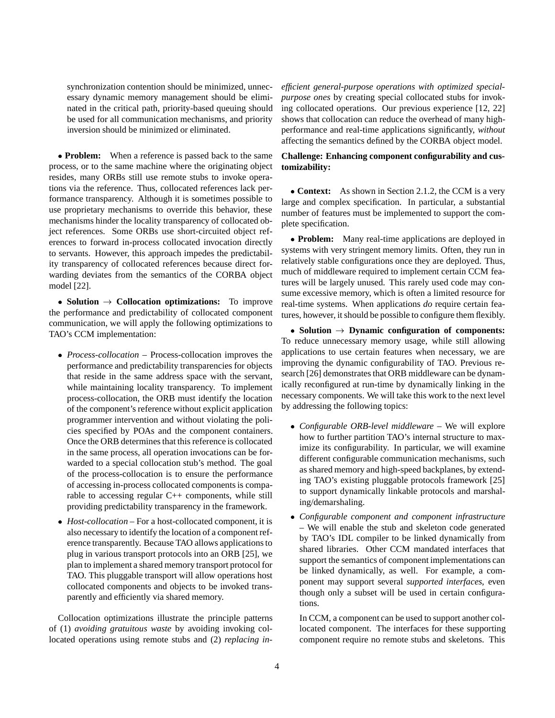synchronization contention should be minimized, unnecessary dynamic memory management should be eliminated in the critical path, priority-based queuing should be used for all communication mechanisms, and priority inversion should be minimized or eliminated.

• **Problem:** When a reference is passed back to the same process, or to the same machine where the originating object resides, many ORBs still use remote stubs to invoke operations via the reference. Thus, collocated references lack performance transparency. Although it is sometimes possible to use proprietary mechanisms to override this behavior, these mechanisms hinder the locality transparency of collocated object references. Some ORBs use short-circuited object references to forward in-process collocated invocation directly to servants. However, this approach impedes the predictability transparency of collocated references because direct forwarding deviates from the semantics of the CORBA object model [22].

• **Solution**  $\rightarrow$  **Collocation optimizations:** To improve the performance and predictability of collocated component communication, we will apply the following optimizations to TAO's CCM implementation:

- *Process-collocation* Process-collocation improves the performance and predictability transparencies for objects that reside in the same address space with the servant, while maintaining locality transparency. To implement process-collocation, the ORB must identify the location of the component's reference without explicit application programmer intervention and without violating the policies specified by POAs and the component containers. Once the ORB determines that this reference is collocated in the same process, all operation invocations can be forwarded to a special collocation stub's method. The goal of the process-collocation is to ensure the performance of accessing in-process collocated components is comparable to accessing regular C++ components, while still providing predictability transparency in the framework.
- *Host-collocation* For a host-collocated component, it is also necessary to identify the location of a component reference transparently. Because TAO allows applications to plug in various transport protocols into an ORB [25], we plan to implement a shared memory transport protocol for TAO. This pluggable transport will allow operations host collocated components and objects to be invoked transparently and efficiently via shared memory.

Collocation optimizations illustrate the principle patterns of (1) *avoiding gratuitous waste* by avoiding invoking collocated operations using remote stubs and (2) *replacing in-* *efficient general-purpose operations with optimized specialpurpose ones* by creating special collocated stubs for invoking collocated operations. Our previous experience [12, 22] shows that collocation can reduce the overhead of many highperformance and real-time applications significantly, *without* affecting the semantics defined by the CORBA object model.

### **Challenge: Enhancing component configurability and customizability:**

• **Context:** As shown in Section 2.1.2, the CCM is a very large and complex specification. In particular, a substantial number of features must be implemented to support the complete specification.

 **Problem:** Many real-time applications are deployed in systems with very stringent memory limits. Often, they run in relatively stable configurations once they are deployed. Thus, much of middleware required to implement certain CCM features will be largely unused. This rarely used code may consume excessive memory, which is often a limited resource for real-time systems. When applications *do* require certain features, however, it should be possible to configure them flexibly.

 $\bullet$  Solution  $\rightarrow$  Dynamic configuration of components: To reduce unnecessary memory usage, while still allowing applications to use certain features when necessary, we are improving the dynamic configurability of TAO. Previous research [26] demonstrates that ORB middleware can be dynamically reconfigured at run-time by dynamically linking in the necessary components. We will take this work to the next level by addressing the following topics:

- *Configurable ORB-level middleware* We will explore how to further partition TAO's internal structure to maximize its configurability. In particular, we will examine different configurable communication mechanisms, such as shared memory and high-speed backplanes, by extending TAO's existing pluggable protocols framework [25] to support dynamically linkable protocols and marshaling/demarshaling.
- *Configurable component and component infrastructure* – We will enable the stub and skeleton code generated by TAO's IDL compiler to be linked dynamically from shared libraries. Other CCM mandated interfaces that support the semantics of component implementations can be linked dynamically, as well. For example, a component may support several *supported interfaces*, even though only a subset will be used in certain configurations.

In CCM, a component can be used to support another collocated component. The interfaces for these supporting component require no remote stubs and skeletons. This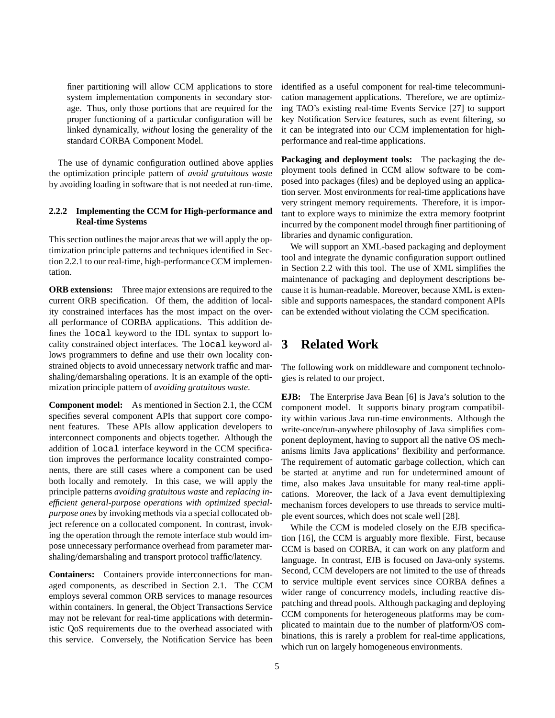finer partitioning will allow CCM applications to store system implementation components in secondary storage. Thus, only those portions that are required for the proper functioning of a particular configuration will be linked dynamically, *without* losing the generality of the standard CORBA Component Model.

The use of dynamic configuration outlined above applies the optimization principle pattern of *avoid gratuitous waste* by avoiding loading in software that is not needed at run-time.

### **2.2.2 Implementing the CCM for High-performance and Real-time Systems**

This section outlines the major areas that we will apply the optimization principle patterns and techniques identified in Section 2.2.1 to our real-time, high-performance CCM implementation.

**ORB extensions:** Three major extensions are required to the current ORB specification. Of them, the addition of locality constrained interfaces has the most impact on the overall performance of CORBA applications. This addition defines the local keyword to the IDL syntax to support locality constrained object interfaces. The local keyword allows programmers to define and use their own locality constrained objects to avoid unnecessary network traffic and marshaling/demarshaling operations. It is an example of the optimization principle pattern of *avoiding gratuitous waste*.

**Component model:** As mentioned in Section 2.1, the CCM specifies several component APIs that support core component features. These APIs allow application developers to interconnect components and objects together. Although the addition of local interface keyword in the CCM specification improves the performance locality constrainted components, there are still cases where a component can be used both locally and remotely. In this case, we will apply the principle patterns *avoiding gratuitous waste* and *replacing inefficient general-purpose operations with optimized specialpurpose ones* by invoking methods via a special collocated object reference on a collocated component. In contrast, invoking the operation through the remote interface stub would impose unnecessary performance overhead from parameter marshaling/demarshaling and transport protocol traffic/latency.

**Containers:** Containers provide interconnections for managed components, as described in Section 2.1. The CCM employs several common ORB services to manage resources within containers. In general, the Object Transactions Service may not be relevant for real-time applications with deterministic QoS requirements due to the overhead associated with this service. Conversely, the Notification Service has been identified as a useful component for real-time telecommunication management applications. Therefore, we are optimizing TAO's existing real-time Events Service [27] to support key Notification Service features, such as event filtering, so it can be integrated into our CCM implementation for highperformance and real-time applications.

**Packaging and deployment tools:** The packaging the deployment tools defined in CCM allow software to be composed into packages (files) and be deployed using an application server. Most environments for real-time applications have very stringent memory requirements. Therefore, it is important to explore ways to minimize the extra memory footprint incurred by the component model through finer partitioning of libraries and dynamic configuration.

We will support an XML-based packaging and deployment tool and integrate the dynamic configuration support outlined in Section 2.2 with this tool. The use of XML simplifies the maintenance of packaging and deployment descriptions because it is human-readable. Moreover, because XML is extensible and supports namespaces, the standard component APIs can be extended without violating the CCM specification.

## **3 Related Work**

The following work on middleware and component technologies is related to our project.

**EJB:** The Enterprise Java Bean [6] is Java's solution to the component model. It supports binary program compatibility within various Java run-time environments. Although the write-once/run-anywhere philosophy of Java simplifies component deployment, having to support all the native OS mechanisms limits Java applications' flexibility and performance. The requirement of automatic garbage collection, which can be started at anytime and run for undetermined amount of time, also makes Java unsuitable for many real-time applications. Moreover, the lack of a Java event demultiplexing mechanism forces developers to use threads to service multiple event sources, which does not scale well [28].

While the CCM is modeled closely on the EJB specification [16], the CCM is arguably more flexible. First, because CCM is based on CORBA, it can work on any platform and language. In contrast, EJB is focused on Java-only systems. Second, CCM developers are not limited to the use of threads to service multiple event services since CORBA defines a wider range of concurrency models, including reactive dispatching and thread pools. Although packaging and deploying CCM components for heterogeneous platforms may be complicated to maintain due to the number of platform/OS combinations, this is rarely a problem for real-time applications, which run on largely homogeneous environments.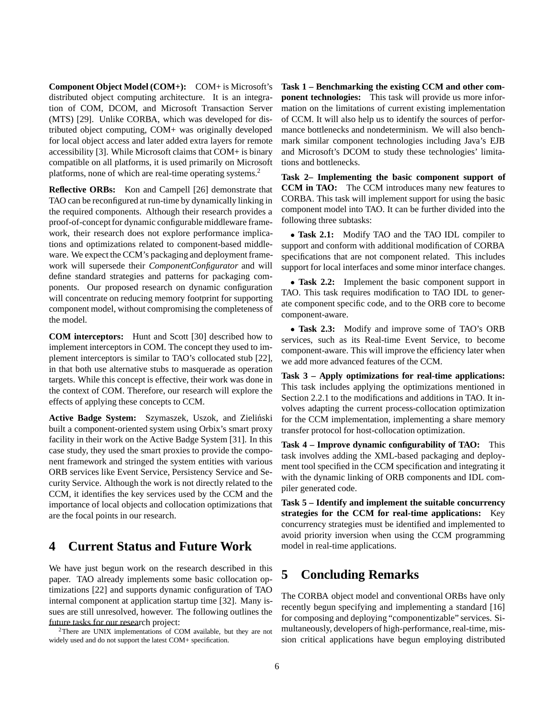**Component Object Model (COM+):** COM+ is Microsoft's distributed object computing architecture. It is an integration of COM, DCOM, and Microsoft Transaction Server (MTS) [29]. Unlike CORBA, which was developed for distributed object computing, COM+ was originally developed for local object access and later added extra layers for remote accessibility [3]. While Microsoft claims that COM+ is binary compatible on all platforms, it is used primarily on Microsoft platforms, none of which are real-time operating systems.2

**Reflective ORBs:** Kon and Campell [26] demonstrate that TAO can be reconfigured at run-time by dynamically linking in the required components. Although their research provides a proof-of-concept for dynamic configurable middleware framework, their research does not explore performance implications and optimizations related to component-based middleware. We expect the CCM's packaging and deployment framework will supersede their *ComponentConfigurator* and will define standard strategies and patterns for packaging components. Our proposed research on dynamic configuration will concentrate on reducing memory footprint for supporting component model, without compromising the completeness of the model.

**COM interceptors:** Hunt and Scott [30] described how to implement interceptors in COM. The concept they used to implement interceptors is similar to TAO's collocated stub [22], in that both use alternative stubs to masquerade as operation targets. While this concept is effective, their work was done in the context of COM. Therefore, our research will explore the effects of applying these concepts to CCM.

Active Badge System: Szymaszek, Uszok, and Zieliński built a component-oriented system using Orbix's smart proxy facility in their work on the Active Badge System [31]. In this case study, they used the smart proxies to provide the component framework and stringed the system entities with various ORB services like Event Service, Persistency Service and Security Service. Although the work is not directly related to the CCM, it identifies the key services used by the CCM and the importance of local objects and collocation optimizations that are the focal points in our research.

## **4 Current Status and Future Work**

We have just begun work on the research described in this paper. TAO already implements some basic collocation optimizations [22] and supports dynamic configuration of TAO internal component at application startup time [32]. Many issues are still unresolved, however. The following outlines the future tasks for our research project: 2There are UNIX implementations of COM available, but they are not

widely used and do not support the latest COM+ specification.

**Task 1 – Benchmarking the existing CCM and other component technologies:** This task will provide us more information on the limitations of current existing implementation of CCM. It will also help us to identify the sources of performance bottlenecks and nondeterminism. We will also benchmark similar component technologies including Java's EJB and Microsoft's DCOM to study these technologies' limitations and bottlenecks.

**Task 2– Implementing the basic component support of CCM in TAO:** The CCM introduces many new features to CORBA. This task will implement support for using the basic component model into TAO. It can be further divided into the following three subtasks:

 **Task 2.1:** Modify TAO and the TAO IDL compiler to support and conform with additional modification of CORBA specifications that are not component related. This includes support for local interfaces and some minor interface changes.

 **Task 2.2:** Implement the basic component support in TAO. This task requires modification to TAO IDL to generate component specific code, and to the ORB core to become component-aware.

 **Task 2.3:** Modify and improve some of TAO's ORB services, such as its Real-time Event Service, to become component-aware. This will improve the efficiency later when we add more advanced features of the CCM.

**Task 3 – Apply optimizations for real-time applications:** This task includes applying the optimizations mentioned in Section 2.2.1 to the modifications and additions in TAO. It involves adapting the current process-collocation optimization for the CCM implementation, implementing a share memory transfer protocol for host-collocation optimization.

**Task 4 – Improve dynamic configurability of TAO:** This task involves adding the XML-based packaging and deployment tool specified in the CCM specification and integrating it with the dynamic linking of ORB components and IDL compiler generated code.

**Task 5 – Identify and implement the suitable concurrency strategies for the CCM for real-time applications:** Key concurrency strategies must be identified and implemented to avoid priority inversion when using the CCM programming model in real-time applications.

# **5 Concluding Remarks**

The CORBA object model and conventional ORBs have only recently begun specifying and implementing a standard [16] for composing and deploying "componentizable" services. Simultaneously, developers of high-performance, real-time, mission critical applications have begun employing distributed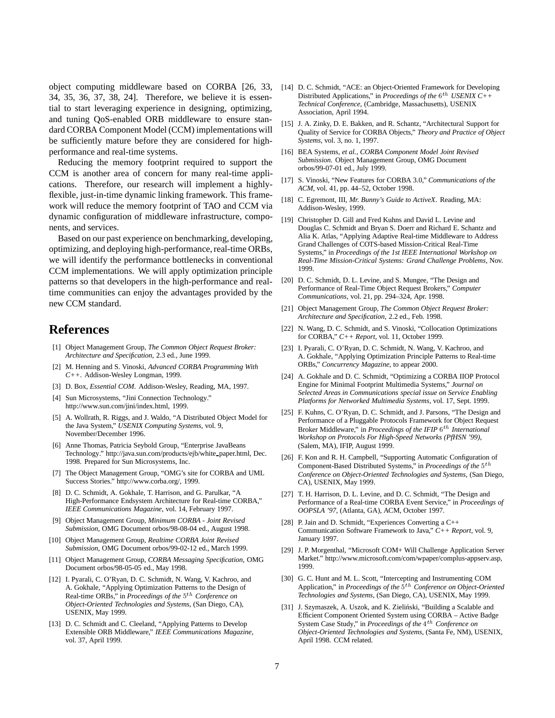object computing middleware based on CORBA [26, 33, [14] D. C. Schmidt, "ACE: an Object-Oriented Framework for Developing 34, 35, 36, 37, 38, 24]. Therefore, we believe it is essential to start leveraging experience in designing, optimizing, and tuning QoS-enabled ORB middleware to ensure standard CORBA Component Model (CCM) implementations will be sufficiently mature before they are considered for highperformance and real-time systems.

Reducing the memory footprint required to support the CCM is another area of concern for many real-time applications. Therefore, our research will implement a highlyflexible, just-in-time dynamic linking framework. This framework will reduce the memory footprint of TAO and CCM via dynamic configuration of middleware infrastructure, components, and services.

Based on our past experience on benchmarking, developing, optimizing, and deploying high-performance, real-time ORBs, we will identify the performance bottlenecks in conventional CCM implementations. We will apply optimization principle patterns so that developers in the high-performance and realtime communities can enjoy the advantages provided by the new CCM standard.

## **References**

- [1] Object Management Group, *The Common Object Request Broker: Architecture and Specification*, 2.3 ed., June 1999.
- [2] M. Henning and S. Vinoski, *Advanced CORBA Programming With C++*. Addison-Wesley Longman, 1999.
- [3] D. Box, *Essential COM*. Addison-Wesley, Reading, MA, 1997.
- [4] Sun Microsystems, "Jini Connection Technology." http://www.sun.com/jini/index.html, 1999.
- [5] A. Wollrath, R. Riggs, and J. Waldo, "A Distributed Object Model for the Java System," *USENIX Computing Systems*, vol. 9, November/December 1996.
- [6] Anne Thomas, Patricia Seybold Group, "Enterprise JavaBeans Technology." http://java.sun.com/products/ejb/white paper.html, Dec. 1998. Prepared for Sun Microsystems, Inc.
- [7] The Object Management Group, "OMG's site for CORBA and UML Success Stories." http://www.corba.org/, 1999.
- [8] D. C. Schmidt, A. Gokhale, T. Harrison, and G. Parulkar, "A High-Performance Endsystem Architecture for Real-time CORBA," *IEEE Communications Magazine*, vol. 14, February 1997.
- [9] Object Management Group, *Minimum CORBA Joint Revised Submission*, OMG Document orbos/98-08-04 ed., August 1998.
- [10] Object Management Group, *Realtime CORBA Joint Revised Submission*, OMG Document orbos/99-02-12 ed., March 1999.
- [11] Object Management Group, *CORBA Messaging Specification*, OMG Document orbos/98-05-05 ed., May 1998.
- [12] I. Pyarali, C. O'Ryan, D. C. Schmidt, N. Wang, V. Kachroo, and A. Gokhale, "Applying Optimization Patterns to the Design of Real-time ORBs," in *Proceedings of the* <sup>5</sup>th *Conference on Object-Oriented Technologies and Systems*, (San Diego, CA), USENIX, May 1999.
- [13] D. C. Schmidt and C. Cleeland, "Applying Patterns to Develop Extensible ORB Middleware," *IEEE Communications Magazine*, vol. 37, April 1999.
- Distributed Applications," in *Proceedings of the* 6<sup>th</sup> *USENIX C++ Technical Conference*, (Cambridge, Massachusetts), USENIX Association, April 1994.
- [15] J. A. Zinky, D. E. Bakken, and R. Schantz, "Architectural Support for Quality of Service for CORBA Objects," *Theory and Practice of Object Systems*, vol. 3, no. 1, 1997.
- [16] BEA Systems, *et al.*, *CORBA Component Model Joint Revised Submission*. Object Management Group, OMG Document orbos/99-07-01 ed., July 1999.
- [17] S. Vinoski, "New Features for CORBA 3.0," *Communications of the ACM*, vol. 41, pp. 44–52, October 1998.
- [18] C. Egremont, III, *Mr. Bunny's Guide to ActiveX*. Reading, MA: Addison-Wesley, 1999.
- [19] Christopher D. Gill and Fred Kuhns and David L. Levine and Douglas C. Schmidt and Bryan S. Doerr and Richard E. Schantz and Alia K. Atlas, "Applying Adaptive Real-time Middleware to Address Grand Challenges of COTS-based Mission-Critical Real-Time Systems," in *Proceedings of the 1st IEEE International Workshop on Real-Time Mission-Critical Systems: Grand Challenge Problems*, Nov. 1999.
- [20] D. C. Schmidt, D. L. Levine, and S. Mungee, "The Design and Performance of Real-Time Object Request Brokers," *Computer Communications*, vol. 21, pp. 294–324, Apr. 1998.
- [21] Object Management Group, *The Common Object Request Broker: Architecture and Specification*, 2.2 ed., Feb. 1998.
- [22] N. Wang, D. C. Schmidt, and S. Vinoski, "Collocation Optimizations" for CORBA," *C++ Report*, vol. 11, October 1999.
- [23] I. Pyarali, C. O'Ryan, D. C. Schmidt, N. Wang, V. Kachroo, and A. Gokhale, "Applying Optimization Principle Patterns to Real-time ORBs," *Concurrency Magazine*, to appear 2000.
- [24] A. Gokhale and D. C. Schmidt, "Optimizing a CORBA IIOP Protocol Engine for Minimal Footprint Multimedia Systems," *Journal on Selected Areas in Communications special issue on Service Enabling Platforms for Networked Multimedia Systems*, vol. 17, Sept. 1999.
- [25] F. Kuhns, C. O'Ryan, D. C. Schmidt, and J. Parsons, "The Design and Performance of a Pluggable Protocols Framework for Object Request Broker Middleware," in *Proceedings of the IFIP*  $6^{th}$  *International Workshop on Protocols For High-Speed Networks (PfHSN '99)*, (Salem, MA), IFIP, August 1999.
- [26] F. Kon and R. H. Campbell, "Supporting Automatic Configuration of Component-Based Distributed Systems," in *Proceedings of the* <sup>5</sup>th *Conference on Object-Oriented Technologies and Systems*, (San Diego, CA), USENIX, May 1999.
- [27] T. H. Harrison, D. L. Levine, and D. C. Schmidt, "The Design and Performance of a Real-time CORBA Event Service," in *Proceedings of OOPSLA '97*, (Atlanta, GA), ACM, October 1997.
- [28] P. Jain and D. Schmidt, "Experiences Converting a C++ Communication Software Framework to Java," *C++ Report*, vol. 9, January 1997.
- [29] J. P. Morgenthal, "Microsoft COM+ Will Challenge Application Server Market." http://www.microsoft.com/com/wpaper/complus-appserv.asp, 1999.
- [30] G. C. Hunt and M. L. Scott, "Intercepting and Instrumenting COM Application," in *Proceedings of the* <sup>5</sup>th *Conference on Object-Oriented Technologies and Systems*, (San Diego, CA), USENIX, May 1999.
- [31] J. Szymaszek, A. Uszok, and K. Zieliński, "Building a Scalable and Efficient Component Oriented System using CORBA – Active Badge System Case Study," in *Proceedings of the* <sup>4</sup>th *Conference on Object-Oriented Technologies and Systems*, (Santa Fe, NM), USENIX, April 1998. CCM related.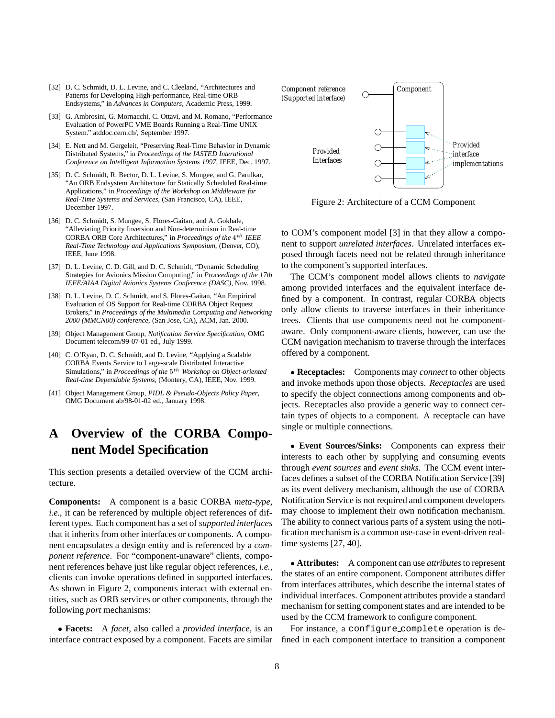- [32] D. C. Schmidt, D. L. Levine, and C. Cleeland, "Architectures and Patterns for Developing High-performance, Real-time ORB Endsystems," in *Advances in Computers*, Academic Press, 1999.
- [33] G. Ambrosini, G. Mornacchi, C. Ottavi, and M. Romano, "Performance Evaluation of PowerPC VME Boards Running a Real-Time UNIX System." atddoc.cern.ch/, September 1997.
- [34] E. Nett and M. Gergeleit, "Preserving Real-Time Behavior in Dynamic Distributed Systems," in *Proceedings of the IASTED Interational Conference on Intelligent Information Systems 1997*, IEEE, Dec. 1997.
- [35] D. C. Schmidt, R. Bector, D. L. Levine, S. Mungee, and G. Parulkar, "An ORB Endsystem Architecture for Statically Scheduled Real-time Applications," in *Proceedings of the Workshop on Middleware for Real-Time Systems and Services*, (San Francisco, CA), IEEE, December 1997.
- [36] D. C. Schmidt, S. Mungee, S. Flores-Gaitan, and A. Gokhale, "Alleviating Priority Inversion and Non-determinism in Real-time CORBA ORB Core Architectures," in *Proceedings of the* <sup>4</sup>th *IEEE Real-Time Technology and Applications Symposium*, (Denver, CO), IEEE, June 1998.
- [37] D. L. Levine, C. D. Gill, and D. C. Schmidt, "Dynamic Scheduling Strategies for Avionics Mission Computing," in *Proceedings of the 17th IEEE/AIAA Digital Avionics Systems Conference (DASC)*, Nov. 1998.
- [38] D. L. Levine, D. C. Schmidt, and S. Flores-Gaitan, "An Empirical Evaluation of OS Support for Real-time CORBA Object Request Brokers," in *Proceedings of the Multimedia Computing and Networking 2000 (MMCN00) conference*, (San Jose, CA), ACM, Jan. 2000.
- [39] Object Management Group, *Notification Service Specification*, OMG Document telecom/99-07-01 ed., July 1999.
- [40] C. O'Ryan, D. C. Schmidt, and D. Levine, "Applying a Scalable CORBA Events Service to Large-scale Distributed Interactive Simulations," in *Proceedings of the*  $5<sup>th</sup>$  *Workshop on Object-oriented Real-time Dependable Systems*, (Montery, CA), IEEE, Nov. 1999.
- [41] Object Management Group, *PIDL & Pseudo-Objects Policy Paper*, OMG Document ab/98-01-02 ed., January 1998.

# **A Overview of the CORBA Component Model Specification**

This section presents a detailed overview of the CCM architecture.

**Components:** A component is a basic CORBA *meta-type*, *i.e.*, it can be referenced by multiple object references of different types. Each component has a set of *supported interfaces* that it inherits from other interfaces or components. A component encapsulates a design entity and is referenced by a *component reference*. For "component-unaware" clients, component references behave just like regular object references, *i.e.*, clients can invoke operations defined in supported interfaces. As shown in Figure 2, components interact with external entities, such as ORB services or other components, through the following *port* mechanisms:

 **Facets:** A *facet*, also called a *provided interface*, is an interface contract exposed by a component. Facets are similar



Figure 2: Architecture of a CCM Component

to COM's component model [3] in that they allow a component to support *unrelated interfaces*. Unrelated interfaces exposed through facets need not be related through inheritance to the component's supported interfaces.

The CCM's component model allows clients to *navigate* among provided interfaces and the equivalent interface defined by a component. In contrast, regular CORBA objects only allow clients to traverse interfaces in their inheritance trees. Clients that use components need not be componentaware. Only component-aware clients, however, can use the CCM navigation mechanism to traverse through the interfaces offered by a component.

 **Receptacles:** Components may *connect* to other objects and invoke methods upon those objects. *Receptacles* are used to specify the object connections among components and objects. Receptacles also provide a generic way to connect certain types of objects to a component. A receptacle can have single or multiple connections.

 **Event Sources/Sinks:** Components can express their interests to each other by supplying and consuming events through *event sources* and *event sinks*. The CCM event interfaces defines a subset of the CORBA Notification Service [39] as its event delivery mechanism, although the use of CORBA Notification Service is not required and component developers may choose to implement their own notification mechanism. The ability to connect various parts of a system using the notification mechanism is a common use-case in event-driven realtime systems [27, 40].

• Attributes: A component can use *attributes* to represent the states of an entire component. Component attributes differ from interfaces attributes, which describe the internal states of individual interfaces. Component attributes provide a standard mechanism for setting component states and are intended to be used by the CCM framework to configure component.

For instance, a configure complete operation is defined in each component interface to transition a component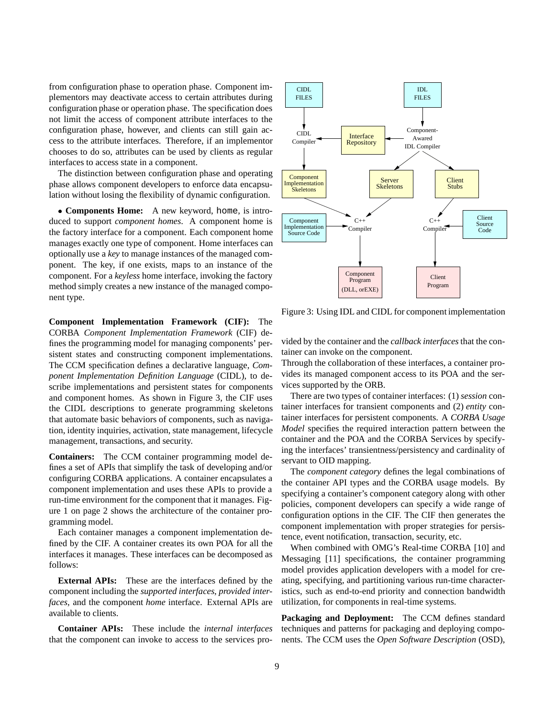from configuration phase to operation phase. Component implementors may deactivate access to certain attributes during configuration phase or operation phase. The specification does not limit the access of component attribute interfaces to the configuration phase, however, and clients can still gain access to the attribute interfaces. Therefore, if an implementor chooses to do so, attributes can be used by clients as regular interfaces to access state in a component.

The distinction between configuration phase and operating phase allows component developers to enforce data encapsulation without losing the flexibility of dynamic configuration.

 **Components Home:** A new keyword, home, is introduced to support *component homes*. A component home is the factory interface for a component. Each component home manages exactly one type of component. Home interfaces can optionally use a *key* to manage instances of the managed component. The key, if one exists, maps to an instance of the component. For a *keyless* home interface, invoking the factory method simply creates a new instance of the managed component type.

**Component Implementation Framework (CIF):** The CORBA *Component Implementation Framework* (CIF) defines the programming model for managing components' persistent states and constructing component implementations. The CCM specification defines a declarative language, *Component Implementation Definition Language* (CIDL), to describe implementations and persistent states for components and component homes. As shown in Figure 3, the CIF uses the CIDL descriptions to generate programming skeletons that automate basic behaviors of components, such as navigation, identity inquiries, activation, state management, lifecycle management, transactions, and security.

**Containers:** The CCM container programming model defines a set of APIs that simplify the task of developing and/or configuring CORBA applications. A container encapsulates a component implementation and uses these APIs to provide a run-time environment for the component that it manages. Figure 1 on page 2 shows the architecture of the container programming model.

Each container manages a component implementation defined by the CIF. A container creates its own POA for all the interfaces it manages. These interfaces can be decomposed as follows:

**External APIs:** These are the interfaces defined by the component including the *supported interfaces*, *provided interfaces*, and the component *home* interface. External APIs are available to clients.

**Container APIs:** These include the *internal interfaces* that the component can invoke to access to the services pro-



Figure 3: Using IDL and CIDL for component implementation

vided by the container and the *callback interfaces*that the container can invoke on the component.

Through the collaboration of these interfaces, a container provides its managed component access to its POA and the services supported by the ORB.

There are two types of container interfaces: (1) *session* container interfaces for transient components and (2) *entity* container interfaces for persistent components. A *CORBA Usage Model* specifies the required interaction pattern between the container and the POA and the CORBA Services by specifying the interfaces' transientness/persistency and cardinality of servant to OID mapping.

The *component category* defines the legal combinations of the container API types and the CORBA usage models. By specifying a container's component category along with other policies, component developers can specify a wide range of configuration options in the CIF. The CIF then generates the component implementation with proper strategies for persistence, event notification, transaction, security, etc.

When combined with OMG's Real-time CORBA [10] and Messaging [11] specifications, the container programming model provides application developers with a model for creating, specifying, and partitioning various run-time characteristics, such as end-to-end priority and connection bandwidth utilization, for components in real-time systems.

**Packaging and Deployment:** The CCM defines standard techniques and patterns for packaging and deploying components. The CCM uses the *Open Software Description* (OSD),